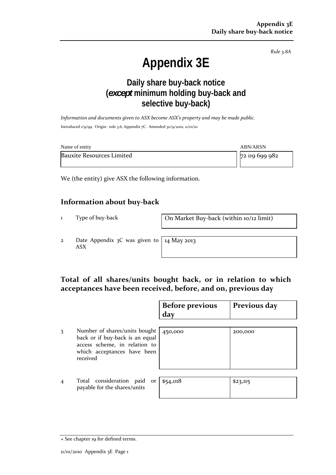*Rule 3.8A*

# **Appendix 3E**

# **Daily share buy-back notice (***except* **minimum holding buy-back and selective buy-back)**

*Information and documents given to ASX become ASX's property and may be made public.* Introduced 1/9/99. Origin: rule 3.6, Appendix 7C. Amended 30/9/2001, 11/01/10

| Name of entity                   | ABN/ARSN       |  |  |  |
|----------------------------------|----------------|--|--|--|
| <b>Bauxite Resources Limited</b> | 72 119 699 982 |  |  |  |

We (the entity) give ASX the following information.

#### **Information about buy‐back**

1 Type of buy‐back **On Market Buy‐back (within 10/12 limit)** 

2 Date Appendix 3C was given to ASX

14 May 2013

### **Total of all shares/units bought back, or in relation to which acceptances have been received, before, and on, previous day**

|                |                                                                                                                                              | <b>Before previous</b><br>day | Previous day |
|----------------|----------------------------------------------------------------------------------------------------------------------------------------------|-------------------------------|--------------|
| 3              | Number of shares/units bought<br>back or if buy-back is an equal<br>access scheme, in relation to<br>which acceptances have been<br>received | 450,000                       | 200,000      |
| $\overline{4}$ | Total consideration<br>paid<br>or<br>payable for the shares/units                                                                            | \$54,018                      | \$23,115     |

<sup>+</sup> See chapter 19 for defined terms.